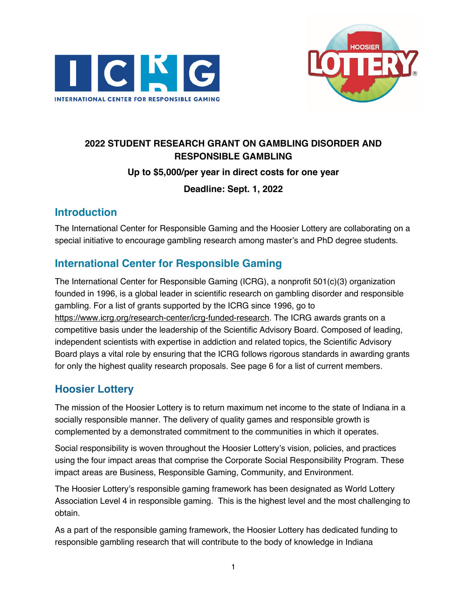



# **2022 STUDENT RESEARCH GRANT ON GAMBLING DISORDER AND RESPONSIBLE GAMBLING Up to \$5,000/per year in direct costs for one year Deadline: Sept. 1, 2022**

# **Introduction**

The International Center for Responsible Gaming and the Hoosier Lottery are collaborating on a special initiative to encourage gambling research among master's and PhD degree students.

# **International Center for Responsible Gaming**

The International Center for Responsible Gaming (ICRG), a nonprofit 501(c)(3) organization founded in 1996, is a global leader in scientific research on gambling disorder and responsible gambling. For a list of grants supported by the ICRG since 1996, go to https://www.icrg.org/research-center/icrg-funded-research. The ICRG awards grants on a competitive basis under the leadership of the Scientific Advisory Board. Composed of leading, independent scientists with expertise in addiction and related topics, the Scientific Advisory Board plays a vital role by ensuring that the ICRG follows rigorous standards in awarding grants for only the highest quality research proposals. See page 6 for a list of current members.

# **Hoosier Lottery**

The mission of the Hoosier Lottery is to return maximum net income to the state of Indiana in a socially responsible manner. The delivery of quality games and responsible growth is complemented by a demonstrated commitment to the communities in which it operates.

Social responsibility is woven throughout the Hoosier Lottery's vision, policies, and practices using the four impact areas that comprise the Corporate Social Responsibility Program. These impact areas are Business, Responsible Gaming, Community, and Environment.

The Hoosier Lottery's responsible gaming framework has been designated as World Lottery Association Level 4 in responsible gaming. This is the highest level and the most challenging to obtain.

As a part of the responsible gaming framework, the Hoosier Lottery has dedicated funding to responsible gambling research that will contribute to the body of knowledge in Indiana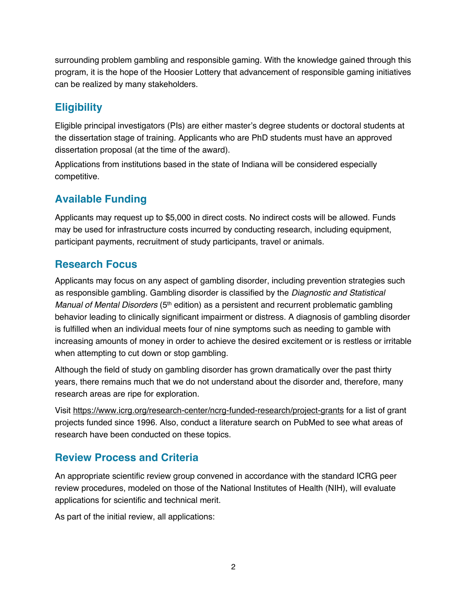surrounding problem gambling and responsible gaming. With the knowledge gained through this program, it is the hope of the Hoosier Lottery that advancement of responsible gaming initiatives can be realized by many stakeholders.

# **Eligibility**

Eligible principal investigators (PIs) are either master's degree students or doctoral students at the dissertation stage of training. Applicants who are PhD students must have an approved dissertation proposal (at the time of the award).

Applications from institutions based in the state of Indiana will be considered especially competitive.

# **Available Funding**

Applicants may request up to \$5,000 in direct costs. No indirect costs will be allowed. Funds may be used for infrastructure costs incurred by conducting research, including equipment, participant payments, recruitment of study participants, travel or animals.

# **Research Focus**

Applicants may focus on any aspect of gambling disorder, including prevention strategies such as responsible gambling. Gambling disorder is classified by the *Diagnostic and Statistical Manual of Mental Disorders* (5th edition) as a persistent and recurrent problematic gambling behavior leading to clinically significant impairment or distress. A diagnosis of gambling disorder is fulfilled when an individual meets four of nine symptoms such as needing to gamble with increasing amounts of money in order to achieve the desired excitement or is restless or irritable when attempting to cut down or stop gambling.

Although the field of study on gambling disorder has grown dramatically over the past thirty years, there remains much that we do not understand about the disorder and, therefore, many research areas are ripe for exploration.

Visit https://www.icrg.org/research-center/ncrg-funded-research/project-grants for a list of grant projects funded since 1996. Also, conduct a literature search on PubMed to see what areas of research have been conducted on these topics.

# **Review Process and Criteria**

An appropriate scientific review group convened in accordance with the standard ICRG peer review procedures, modeled on those of the National Institutes of Health (NIH), will evaluate applications for scientific and technical merit.

As part of the initial review, all applications: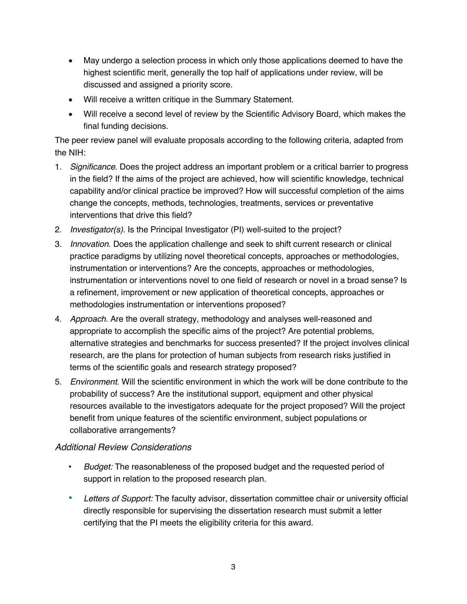- May undergo a selection process in which only those applications deemed to have the highest scientific merit, generally the top half of applications under review, will be discussed and assigned a priority score.
- Will receive a written critique in the Summary Statement.
- Will receive a second level of review by the Scientific Advisory Board, which makes the final funding decisions.

The peer review panel will evaluate proposals according to the following criteria, adapted from the NIH:

- 1. *Significance*. Does the project address an important problem or a critical barrier to progress in the field? If the aims of the project are achieved, how will scientific knowledge, technical capability and/or clinical practice be improved? How will successful completion of the aims change the concepts, methods, technologies, treatments, services or preventative interventions that drive this field?
- 2. *Investigator(s)*. Is the Principal Investigator (PI) well-suited to the project?
- 3. *Innovation*. Does the application challenge and seek to shift current research or clinical practice paradigms by utilizing novel theoretical concepts, approaches or methodologies, instrumentation or interventions? Are the concepts, approaches or methodologies, instrumentation or interventions novel to one field of research or novel in a broad sense? Is a refinement, improvement or new application of theoretical concepts, approaches or methodologies instrumentation or interventions proposed?
- 4. *Approach*. Are the overall strategy, methodology and analyses well-reasoned and appropriate to accomplish the specific aims of the project? Are potential problems, alternative strategies and benchmarks for success presented? If the project involves clinical research, are the plans for protection of human subjects from research risks justified in terms of the scientific goals and research strategy proposed?
- 5. *Environment*. Will the scientific environment in which the work will be done contribute to the probability of success? Are the institutional support, equipment and other physical resources available to the investigators adequate for the project proposed? Will the project benefit from unique features of the scientific environment, subject populations or collaborative arrangements?

## *Additional Review Considerations*

- ! *Budget:* The reasonableness of the proposed budget and the requested period of support in relation to the proposed research plan.
- ! *Letters of Support:* The faculty advisor, dissertation committee chair or university official directly responsible for supervising the dissertation research must submit a letter certifying that the PI meets the eligibility criteria for this award.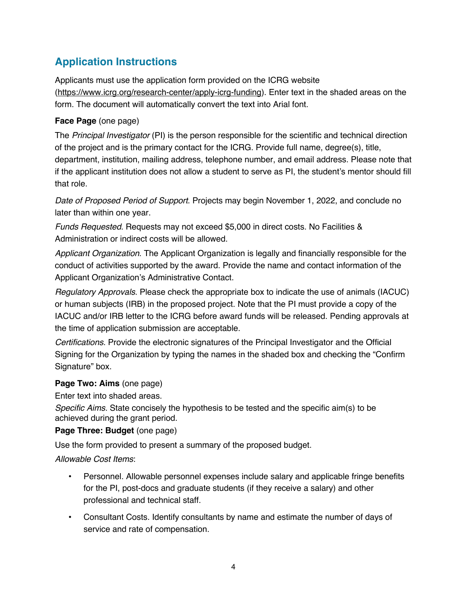# **Application Instructions**

Applicants must use the application form provided on the ICRG website (https://www.icrg.org/research-center/apply-icrg-funding). Enter text in the shaded areas on the form. The document will automatically convert the text into Arial font.

### **Face Page** (one page)

The *Principal Investigator* (PI) is the person responsible for the scientific and technical direction of the project and is the primary contact for the ICRG. Provide full name, degree(s), title, department, institution, mailing address, telephone number, and email address. Please note that if the applicant institution does not allow a student to serve as PI, the student's mentor should fill that role.

*Date of Proposed Period of Support*. Projects may begin November 1, 2022, and conclude no later than within one year.

*Funds Requested*. Requests may not exceed \$5,000 in direct costs. No Facilities & Administration or indirect costs will be allowed.

*Applicant Organization*. The Applicant Organization is legally and financially responsible for the conduct of activities supported by the award. Provide the name and contact information of the Applicant Organization's Administrative Contact.

*Regulatory Approvals*. Please check the appropriate box to indicate the use of animals (IACUC) or human subjects (IRB) in the proposed project. Note that the PI must provide a copy of the IACUC and/or IRB letter to the ICRG before award funds will be released. Pending approvals at the time of application submission are acceptable.

*Certifications*. Provide the electronic signatures of the Principal Investigator and the Official Signing for the Organization by typing the names in the shaded box and checking the "Confirm Signature" box.

### **Page Two: Aims** (one page)

Enter text into shaded areas.

*Specific Aims.* State concisely the hypothesis to be tested and the specific aim(s) to be achieved during the grant period.

### **Page Three: Budget** (one page)

Use the form provided to present a summary of the proposed budget.

### *Allowable Cost Items*:

- ! Personnel. Allowable personnel expenses include salary and applicable fringe benefits for the PI, post-docs and graduate students (if they receive a salary) and other professional and technical staff.
- ! Consultant Costs. Identify consultants by name and estimate the number of days of service and rate of compensation.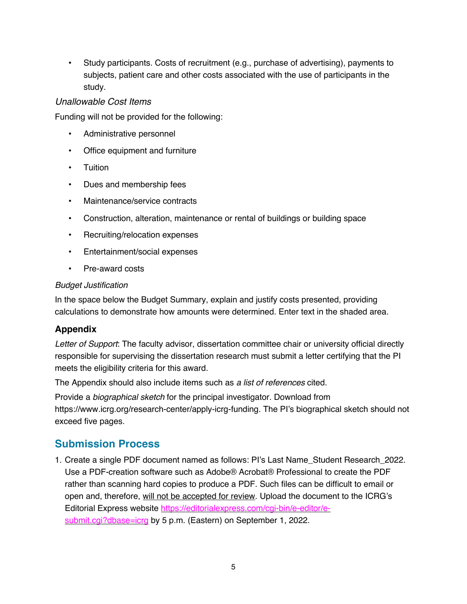! Study participants. Costs of recruitment (e.g., purchase of advertising), payments to subjects, patient care and other costs associated with the use of participants in the study.

#### *Unallowable Cost Items*

Funding will not be provided for the following:

- Administrative personnel
- Office equipment and furniture
- Tuition
- Dues and membership fees
- Maintenance/service contracts
- ! Construction, alteration, maintenance or rental of buildings or building space
- Recruiting/relocation expenses
- Entertainment/social expenses
- Pre-award costs

#### *Budget Justification*

In the space below the Budget Summary, explain and justify costs presented, providing calculations to demonstrate how amounts were determined. Enter text in the shaded area.

### **Appendix**

*Letter of Support*: The faculty advisor, dissertation committee chair or university official directly responsible for supervising the dissertation research must submit a letter certifying that the PI meets the eligibility criteria for this award.

The Appendix should also include items such as *a list of references* cited.

Provide a *biographical sketch* for the principal investigator. Download from https://www.icrg.org/research-center/apply-icrg-funding. The PI's biographical sketch should not exceed five pages.

## **Submission Process**

1. Create a single PDF document named as follows: PI's Last Name\_Student Research\_2022. Use a PDF-creation software such as Adobe® Acrobat® Professional to create the PDF rather than scanning hard copies to produce a PDF. Such files can be difficult to email or open and, therefore, will not be accepted for review. Upload the document to the ICRG's Editorial Express website https://editorialexpress.com/cgi-bin/e-editor/esubmit.cgi?dbase=icrg by 5 p.m. (Eastern) on September 1, 2022.